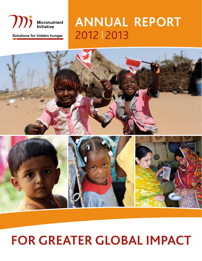

# **Annual Report** Solutions for hidden hunger<br>
2012 | 2013



# **For Greater Global Impact**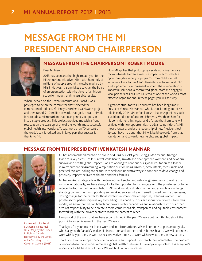## **Message from the MI President and Chairperson**



#### Message from the Chairperson I ROBERT MOORE

#### Dear MI friends,

2013 has been another high impact year for the Micronutrient Initiative (MI) – with hundreds of millions of people around the globe reached by MI's initiatives. It is a privilege to chair the Board of an organization with that level of ambition, scope for impact, and measurable results.

When I served on the Kiwanis International Board, I was privileged to be on the committee that selected the elimination of Iodine Deficiency Disorders as a Kiwanis project and then raised \$110 million towards that goal. It was a simple idea to add a micronutrient that costs pennies per person into a staple product. This project provided me with a front row seat on the scale up of one of the world's most successful global health interventions. Today, more than 70 percent of the world's salt is iodized and in large part that success is thanks to MI.

Now MI applies that philosophy – scale up of inexpensive micronutrients to create massive impact – across the life cycle through a variety of programs: from child survival initiatives, like vitamin A supplementation, to iron and folic acid supplements for pregnant women. The combination of impactful solutions, a committed global staff and engaged local partners has ensured MI remains one of the world's most effective organizations. In these pages you will see why.

A great contributor to MI's success has been long time MI President Venkatesh Mannar, who is transitioning out of his role in early 2014. Under Venkatesh's leadership, MI has built a solid foundation of accomplishments. We thank him for his commitment, his legacy and a future that I am sure will be filled with new opportunities to advance nutrition. As MI moves forward, under the leadership of new President Joel Spicer, I have no doubt that MI will build upwards from that foundation and towards new heights and global impact.

### MESSAGE FROM THE PRESIDENT I Venkatesh Mannar



Photo credit: Sgt Ronald Duchesne, Rideau Hall ©Her Majesty The Queen in Right of Canada represented by the Office of the Secretary to the Governor General (2013)

MI has accomplished much to be proud of during our 21st year. Being guided by our Strategic Plan's four key areas – child survival; child health, growth and development; women's and newborn survival and health; global impact – we are working to continue our global reputation as a leader in micronutrient programming. A reputation built on being rigorous, accountable, measurable and practical. We are looking to the future to seek out innovative ways to continue to drive change and positively impact the lives of children and their families.

MI has worked strategically with the development sector and national governments to realize our mission. Additionally, we have always looked for opportunities to engage with the private sector to help reduce the footprint of undernutrition. MI's work in salt iodization is the best example of our longstanding commitment in supporting and working successfully with small to medium size businesses, driving change for the better for those involved in small-scale enterprises, including women. Our private sector partnership was key to building sustainability in our salt iodization projects. From this model, we know that we can branch our private sector capabilities and relationships into our other areas of responsibility to help create a more comprehensible, transparent and equitable environment for working with the private sector to reach the hardest to reach.

I am proud of the work that we have accomplished in the past 20 years but I am thrilled about the possibility for achievement in the next 20 years.

Thank you for your interest in our work and in micronutrients. We will continue to pursue our goals, which align with Canada's leadership in nutrition and women and children's health. We will continue to work with key partners as well as seek innovative models to work with new partners in new sectors.

Thank you to all of our partners who collaborate and support us to reach the unreachable. The problem of micronutrient deficiencies remains a global health challenge. It is everyone's problem. It is everyone's responsibility. MI has the solutions. We will build on our successes.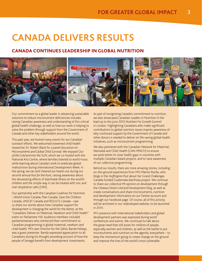## **CANADA DELIVERS RESULTS**

### Canada continues leadership in global nutrition



Our commitment as a global leader in advancing sustainable solutions to reduce micronutrient deficiencies includes raising Canadian awareness and understanding of this critical global health challenge, as well as how our work is helping to solve the problem through support from the Government of Canada and other key stakeholders around the world.

This past year, we hosted many events for our Canadian outreach efforts. We welcomed esteemed child health researcher Dr. Robert Black for a panel discussion on *Micronutrients and Global Child Survival*. We enjoyed *Out of the Cold and into the SUN*, which we co-hosted with the National Arts Centre, where families listened to world music while learning about Canada's work to eradicate global malnutrition during International Development Week. In the spring, we ran and cheered our hearts out during our second-annual *Run for the Runs*, raising awareness about the devastating effects of diarrhoeal illness on the world's children and the simple way it can be treated with zinc and oral rehydration salts (ORS).

Our partnership with the Canadian Coalition for Nutrition – World Vision Canada, Plan Canada, Save the Children Canada, UNICEF Canada and RESULTS Canada – saw us share our stories about how Canadian support for development is changing the world for the better, at the "Canadians Deliver on Maternal, Newborn and Child Health" event on Parliament Hill. Audience members included parliamentarians who reinforced their commitment to Canadian programming in global maternal, newborn and child health. MI's own Director for the Sahel, Banda Ndiaye, was a guest presenter. Banda expressed appreciation to all Canadians during his thought provoking account of how the people of Senegal benefit from development investments.

As part of recognizing Canada's commitment to nutrition, we also showcased Canadian Leaders in Nutrition in the lead-up to the June 2013 *Nutrition For Growth Summit* in London. Highlighting Canadians who make significant contributions to global nutrition issues inspires awareness of why continued support by the Government of Canada and other donors is needed to deliver on life-saving global health initiatives, such as micronutrient programming.

We also partnered with the Canadian Network for Maternal, Neonatal and Child Health (CAN-MNCH) to ensure we work better to close health gaps in countries with multiple Canadian-based projects, and to raise awareness of our collective programming.

Behind our results, there are more amazing stories, including on-the-ground experiences from MI's Marion Roche, who blogs in the *Huffington Post* about her Grand Challenges Canada-funded Guatemala diarrhoea project. We continue to share our collective MI opinion on development through the *Ottawa Citizen's Aid and Development* blog, as well as create conversations and share micronutrients, nutrition and development information on our Twitter account and through our Facebook page. Of course, all of this activity will be anchored in our redeveloped website, to be launched in 2014.

MI's presence with international stakeholders and global development partners was expressed during world conferences and events. We continued to talk about the great need that still exists for millions of people, especially women and children, as well as the battle to put micronutrients and nutrition on the agenda, everywhere – to keep the momentum going to create change on the ground and improve the lives of the world's most vulnerable.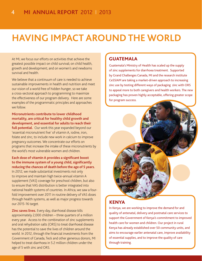## **having IMPACT AROUNDTHE WORLD**

At MI, we focus our efforts on activities that achieve the greatest possible impact on child survival; on child health, growth and development; and on women's and newborns survival and health.

We believe that a continuum of care is needed to achieve sustainable improvements in health and nutrition and meet our vision of a world free of hidden hunger, so we take a cross-sectoral approach to programming to maximize the effectiveness of our program delivery. Here are some examples of the programmatic principles and approaches we follow.

**Micronutrients contribute to lower childhood mortality, are critical for healthy child growth and development, and essential for adults to reach their**  full potential. Our work this year expanded beyond our

'essential micronutrient five' of vitamin A, iodine, iron, folate and zinc, to include new work in calcium to improve pregnancy outcomes. We concentrate our efforts on programs that increase the intake of these micronutrients by the world's most vulnerable women and children.

#### **Each dose of vitamin A provides a significant boost to the immune system of a young child, significantly reducing the chances of death before the age of 5 years.**

In 2012, we made substantial investments not only to improve and maintain high twice-annual vitamin A supplement (VAS) coverage for preschool children, but also to ensure that VAS distribution is better integrated into national health systems of countries. In Africa, we saw a fourfold improvement over 2011 in routine delivery of VAS doses through health systems, as well as major progress towards our 2015-16 target.

**Zinc saves lives.** Every day, diarrhoeal disease kills approximately 2,000 children – three quarters of a million every year. Access to the combination of zinc supplements and oral rehydration salts (ORS) to treat diarrhoeal disease has the potential to save the lives of children around the world. In 2012, through the financial investments from the Government of Canada, Teck and other generous donors, MI helped to treat diarrhoea in 5.2 million children under the age of 5 with zinc and ORS.

## GUATEMALA

Guatemala's Ministry of Health has scaled up the supply of zinc supplements for diarrhoea treatment. Supported by Grand Challenges Canada, MI and the research institute CeSSIAM are taking a market-driven approach to increasing zinc use by testing different ways of packaging zinc with ORS to appeal more to both caregivers and health workers. The new packaging has proven highly acceptable, offering greater scope for program success.



## KENYA

In Kenya, we are working to improve the demand for and quality of antenatal, delivery and postnatal care services to support the Government of Kenya's commitment to improved health care for women and children. Our project in rural Kenya has already established over 50 community units, and aims to encourage earlier antenatal care, improve availability of essential supplies, and to improve the quality of care through training.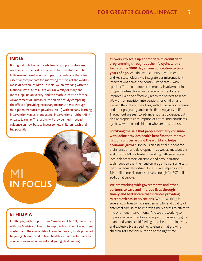### INDIA

Both good nutrition and early learning opportunities are necessary for the best outcome in child development, but little research exists on the impact of combining these two essential components for improving the lives of the world's most vulnerable children. In India, we are working with the National Institute of Nutrition, University of Maryland, Johns Hopkins University, and the Mathile Institute for the Advancement of Human Nutrition on a study comparing the effect of providing necessary micronutrients through multiple micronutrient powders (MNP) with an early learning intervention versus 'stand alone' interventions – either MNP or early learning. The results will provide much needed evidence on how best to invest to help children reach their full potential.

## **MI IN FOCUS**

## ETHIOPIA

In Ethiopia, with support from Canada and UNICEF, we worked with the Ministry of Health to improve both the micronutrient content and the availability of complementary foods provided to young children, and to train health staff and volunteers to counsel caregivers on infant and young child feeding.

**MI works to scale up appropriate micronutrient programming throughout the life cycle, with a focus on the 1000 days: from conception to two years of age.** Working with country governments and key stakeholders, we integrate our micronutrient interventions across the continuum of care – with special efforts to improve community involvement in program outreach – so as to reduce mortality rates, improve lives and effectively reach the hardest to reach. We work on nutrition interventions for children and women throughout their lives, with a special focus during and after pregnancy and on the first two years of life. Throughout we seek to advance not just coverage, but also appropriate consumption of critical micronutrients by those women and children who are most at risk.

**Fortifying the salt that people normally consume with iodine provides health benefits that improve millions of lives around the world and helps economic growth.** Iodine is an essential nutrient for brain function and development, as well as metabolism and growth. MI is a leader in working with small scale local salt processors on simple and easy iodization techniques so that their customers get to consume salt that is adequately iodized. In 2012, we helped iodize 1.14 million metric tonnes of salt, enough for 297 million additional people.

**We are working with governments and other partners to save and improve lives through timely and better care that includes providing micronutrients interventions.** We are working in several countries to increase demand for and quality of antenatal care so as to improve timely access to effective micronutrient interventions. And we are working to improve micronutrient intake as part of promoting good infant and young child feeding practices, including early and exclusive breastfeeding, to ensure that growing children get essential nutrition at the right time.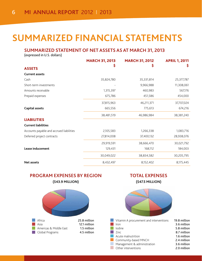## **SUMMARIZED financial STATEMENTS**

## **SUMMARIZED STATEMENT OF NET ASSETS AS AT MARCH 31, 2013**

(expressed in U.S. dollars)

|                                          | <b>MARCH 31, 2013</b> | <b>MARCH 31, 2012</b> | <b>APRIL 1, 2011</b> |
|------------------------------------------|-----------------------|-----------------------|----------------------|
| <b>ASSETS</b>                            | Ş                     | Ş                     | Ş                    |
| <b>Current assets</b>                    |                       |                       |                      |
| Cash                                     | 35,824,780            | 35,331,814            | 25,377,787           |
| Short-term investments                   |                       | 9,966,988             | 11,308,061           |
| Amounts receivable                       | 1,315,397             | 460,983               | 567,176              |
| Prepaid expenses                         | 675,786               | 451,586               | 454,000              |
|                                          | 37,815,963            | 46,211,371            | 37,707,024           |
| <b>Capital assets</b>                    | 665,556               | 775,613               | 674,216              |
|                                          | 38,481,519            | 46,986,984            | 38,381,240           |
| <b>LIABILITIES</b>                       |                       |                       |                      |
| <b>Current liabilities</b>               |                       |                       |                      |
| Accounts payable and accrued liabilities | 2,105,583             | 1,266,338             | 1,083,716            |
| Deferred project contracts               | 27,814,008            | 37,400,132            | 28,938,076           |
|                                          | 29,919,591            | 38,666,470            | 30,021,792           |
| Lease inducement                         | 129,431               | 168,112               | 184,003              |
|                                          | 30,049,022            | 38,834,582            | 30,205,795           |
| <b>Net assets</b>                        | 8,432,497             | 8,152,402             | 8,175,445            |

### **program expenses by region (\$43.9 MILLION)**



## **TOTAL EXPENSES**

**(\$47.5 MILLION)**



|      | Vitamin A procurement and interventions | 19.8 million |
|------|-----------------------------------------|--------------|
| h.   | Iron                                    | 3.6 million  |
|      | l lodine                                | 5.8 million  |
|      | $\blacksquare$ 7 $\blacksquare$         | 8.7 million  |
|      | $\Box$ Acute malnutrition               | 1.6 million  |
|      | Community-based MNCH                    | 2.4 million  |
| a sa | Management & administration             | 3.6 million  |
|      | $\Box$ Other interventions              | 2.0 million  |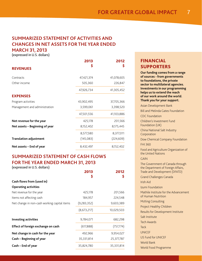## **SUMMARIZED STATEMENT OF ACTIVITIES AND CHANGES IN NET ASSETS FOR THE YEAR ENDED MARCH 31, 2013**

(expressed in U.S. dollars)

|                                | 2013       | 2012       |
|--------------------------------|------------|------------|
| <b>REVENUES</b>                | Ş          | S          |
| Contracts                      | 47,421,374 | 41,078,605 |
| Other income                   | 505,360    | 226,847    |
|                                | 47,926,734 | 41,305,452 |
| <b>EXPENSES</b>                |            |            |
| Program activities             | 43,902,495 | 37,705,366 |
| Management and administration  | 3,599,061  | 3,398,520  |
|                                | 47,501,556 | 41,103,886 |
| Net revenue for the year       | 425,178    | 201,566    |
| Net assets - Beginning of year | 8,152,402  | 8,175,445  |
|                                | 8,577,580  | 8,377,011  |
| <b>Translation adjustment</b>  | (145,083)  | (224, 609) |
| Net assets - End of year       | 8,432,497  | 8,152,402  |

#### **SUMMARIZED STATEMENT OF CASH FLOWS FOR THE YEAR ENDED MARCH 31, 2013** (expressed in U.S. dollars)

|                                              | 2013<br>Ş   | 2012<br>Ş  |
|----------------------------------------------|-------------|------------|
| Cash flows from (used in)                    |             |            |
| <b>Operating activities</b>                  |             |            |
| Net revenue for the year                     | 425,178     | 201,566    |
| Items not affecting cash                     | 184,957     | 224,548    |
| Net change in non-cash working capital items | (9,283,352) | 9,603,389  |
|                                              | (8,673,217) | 10,029,503 |
| <b>Investing activities</b>                  | 9,784,071   | 682,298    |
| Effect of foreign exchange on cash           | (617,888)   | (757, 774) |
| Net change in cash for the year              | 492,966     | 9,954,027  |
| Cash - Beginning of year                     | 35,331,814  | 25,377,787 |
| Cash - End of year                           | 35,824,780  | 35,331,814 |

## FINANCIAL SUPPORTERS

**Our funding comes from a range of sources - from governments to foundations, the private sector to multilateral agencies. Investments in our programming helps us to extend the reach of our work around the world. Thank you for your support.**

| <b>Asian Development Bank</b>                                                                           |
|---------------------------------------------------------------------------------------------------------|
| <b>Bill and Melinda Gates Foundation</b>                                                                |
| <b>CDC</b> Foundation                                                                                   |
| Children's Investment Fund<br>Foundation (UK)                                                           |
| China National Salt Industry<br>Corporation                                                             |
| Dow Chemical Company Foundation                                                                         |
| <b>FHI 360</b>                                                                                          |
| Food and Agriculture Organization of<br>the United Nations                                              |
| <b>GAIN</b>                                                                                             |
| The Government of Canada through<br>the Department of Foreign Affairs,<br>Trade and Development (DFATD) |
| <b>Grand Challenges Canada</b>                                                                          |
| <b>Irish Aid</b>                                                                                        |
| Izumi Foundation                                                                                        |
| Mathile Institute for the Advancement<br>of Human Nutrition                                             |
| <b>McKing Consulting</b>                                                                                |
| Project Healthy Children                                                                                |
| Results for Development Institute                                                                       |
| Salt Institute                                                                                          |
| <b>Tech Awards</b>                                                                                      |
| Teck                                                                                                    |
| <b>UNICEF</b>                                                                                           |
| <b>US Fund for UNICEF</b>                                                                               |
| <b>World Bank</b>                                                                                       |
| World Food Programme                                                                                    |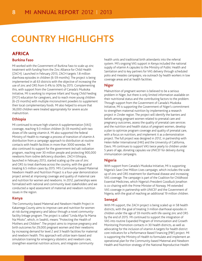## **Country Highlights**

## AFRICA

#### **Burkina Faso**

MI worked with the Government of Burkina Faso to scale up zinc treatment with funding from the Zinc Alliance for Child Health (ZACH). Launched in February 2013, ZACH targets 1.8 million diarrhoea episodes in children (6-59 months). The project is being implemented in all 63 districts with the objective of increasing the use of zinc and ORS from 0.4% to 30% by 2015. Complementing this, with support from the Government of Canada's Muskoka Initiative, MI is working to improve Infant and Young Child Feeding (IYCF) education for caregivers, and to reach more young children (6-23 months) with multiple micronutrient powders to supplement their local complementary foods. MI also helped to ensure that 36,000 children were treated appropriately for severe acute malnutrition.

#### **Ethiopia**

MI continued to ensure high vitamin A supplementation (VAS) coverage, reaching 9.3 million children (6-59 months) with two doses of life-saving vitamin A. MI also supported the federal Ministry of Health to manage a process of transition of vitamin A distribution from a campaign approach to distribution at routine contacts with health facilities in more than 3000 woredas. MI also continued its support for the government-led salt iodization program, reaching over 30 million people and protecting 900,000 newborns from iodine deficiency disorders. ZACH Ethiopia, launched in February 2013, started scaling up the use of zinc and ORS to treat diarrhoea across the country, with the goal of treating 6.5 million cases by 2015. MI's Community-based Maternal Newborn Health and Nutrition Project is a four-year demonstration project aimed at improving coverage and quality of maternal care and nutrition for women and newborns. In 2012, partnerships were formalized with national and community level stakeholders and we conducted a rapid assessment of maternal and newborn nutrition issues in the region.

#### **Kenya**

The Community-based Maternal and Newborn Health Project in Kakamega County aims to improve care and nutrition for women at risk during pregnancy and labour through a novel communityfacility linkage program. The project is called "Linda Afya Ya Mama Na Mtoto", which, in Swahili, means "Protecting the Health of Mothers and Children". The project aims to improve pregnancy and birth outcomes for 29,000 pregnant women and their newborns by increasing demand for level 2 and 3 health facilities for maternal and newborn health. This approach will utilize team-based and simulation training for emergency obstetric and newborn care, strengthen essential nutrition actions, and integrate community

health units and traditional birth attendants into the referral system. MI's ongoing VAS support in Kenya included the national supply of vitamin A capsules to the Ministry of Public Health and Sanitation and to key partners for VAS delivery through scheduled polio and measles campaigns, via outreach by health workers in low coverage areas and at health facilities.

#### **Niger**

Malnutrition of pregnant women is believed to be a serious problem in Niger, but there is only limited information available on their nutritional status and the contributing factors to the problem. Through support from the Government of Canada's Muskoka Initiative, MI is supporting the Government of Niger's commitment to strengthen maternal nutrition by implementing a research project in Zinder region. The project will identify the barriers and beliefs among pregnant women related to prenatal care and pregnancy outcomes, assess the quality of prenatal care services and the nutrition and health status of pregnant women, develop a plan to optimize program coverage and quality of prenatal care, with a focus on nutrition, and implement it as a demonstration project. The full project was designed in 2012, in partnership with Helen Keller International (HKI) and the University of California, Davis. MI continues to support VAS twice yearly to children under 5 years of age, donating capsules via UNICEF for delivery during immunization campaigns.

#### **Nigeria**

With support from Canada's Muskoka Initiative, MI is supporting Nigeria's Save One Million Lives campaign, which includes the scale up of zinc and ORS treatment for diarrhoeal disease and increasing VAS coverage. The campaign is part of the Coalition for Childhood Essential Medicines, which Nigeria's President Goodluck Jonathon is co-chairing with the Prime Minister of Norway. MI extended VAS coverage in partnership with UNICEF and the Government of Nigeria, with the goal of reaching an additional 19 million children.

#### **Senegal**

With MI support, the ZACH project is being scaled up in 58 health districts, with the goal of treating 3 million diarrhoeal episodes in children under the age of 59 months with life-saving zinc and ORS by the end of 2015. MI continued to support the integration of VAS into routine Expanded Program of Immunization and Growth Monitoring Promotion contacts in 30 health districts, as well as advocating for the inclusion of vitamin A targets for health district core indicators for a Performance Based Financing (PBF) project. MI is supporting the Ministry of Health to formulate and implement an operational plan for the Community-based Maternal and Newborn Health and Nutrition strategy of the National Reproductive Health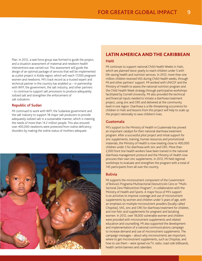Plan. In 2012, a task force group was formed to guide the project, and a situation assessment of maternal and newborn health interventions was carried out. This assessment will guide the design of an optimal package of services that will be implemented as a pilot project in Kolda region, which will reach 17,000 pregnant women and newborns. MI's track record as a trusted expert and technical partner in the country has enabled us – in partnership with WFP, the government, the salt industry, and other partners – to continue to support salt processors to produce adequately iodized salt and strengthen the enforcement of salt iodization.

#### **Republic of Sudan**

MI continued to work with WFP, the Sudanese government and the salt industry to support 18 major salt producers to provide adequately iodized salt in a sustainable manner, which is meeting the needs of more than 14.2 million people. This also ensured over 400,000 newborns were protected from iodine deficiency disorders by making the iodine status of mothers adequate.



#### LATIN AMERICA AND THE CARIBBEAN

#### **Haiti**

MI continues to support national Child Health Weeks in Haiti, which are planned twice-yearly to reach children under 5 with life-saving health and nutrition services. In 2012, more than one million children received VAS during Child Health weeks, through MI and other partners' support. MI worked with UNICEF and the Ministry of Health to assess the national nutrition program and the Child Health Week strategy through participative workshops facilitated by Cornell University. MI also provided the technical and financial inputs needed to initiate a diarrhoea treatment project, using zinc and ORS and delivered at the community level in one region. Diarrhoea is a life-threatening occurrence for children in Haiti and lessons from this project will help to scale up the project nationally to save children's lives.

#### **Guatemala**

MI's support to the Ministry of Health in Guatemala has proved an important catalyst for their national diarrhoea treatment program. After a successful pilot project and initial support for zinc supplements, training, human resources and promotional materials, the Ministry of Health is now treating close to 400,000 children under 5 for diarrhoea with zinc and ORS. More than 2,000 front line health workers have been trained in the national diarrhoea management protocol and the Ministry of Health now procures their own zinc supplements. In 2012, MI held regional workshops to evaluate and strengthen the program with a total of 145 participants from all over the country.

#### **Bolivia**

MI supports the micronutrient component of the Government of Bolivia's Programa Multisectorial Desnutrición Cero or "Multi-Sectoral Zero Malnutrition Program", in collaboration with the Ministry of Health and Sports. A major focus of MI's support is on activities to improve coverage and use of micronutrient supplements by women and children under 5 years of age, with an emphasis on multiple micronutrient powders (locally called *Chispitas*), VAS, zinc and ORS for diarrhoea treatment for children, and iron folic acid supplements for pregnant and lactating women. In 2012, over 18,000 vulnerable women and children were provided with micronutrient supplements and related education and counselling. MI also supported the development and implementation of a national communications campaign to increase demand and use of micronutrient supplements. The campaign messages – about why micronutrients are important, where to get micronutrient supplements, such as Chispitas, and how to use them – were spread via TV, radio, road-side billboards, health centre banners and calendars.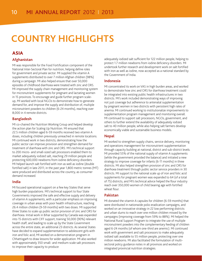## **Country Highlights**

## ASIA

#### **Afghanistan**

MI was responsible for the Food Fortification component of the National Inter-Sectoral Plan for nutrition, helping define roles for government and private sector. MI supplied the vitamin A supplements distributed to over 7 million Afghan children (98%) during a campaign. MI also helped ensure that over 50,000 episodes of childhood diarrhoea were treated with zinc and ORS. MI improved the supply chain management and monitoring system for micronutrient supplements for pregnant and lactating women in 15 provinces. To encourage and guide further program scaleup, MI worked with local NGOs to demonstrate how to generate demand for, and improve the supply and distribution of, multiple micronutrient powders to children (6-24 months), reaching over 8,000 in 4 remote districts.

#### **Bangladesh**

MI co-chaired the Nutrition Working Group and helped develop the action plan for Scaling Up Nutrition. MI ensured that 22.5 million children aged 6-59 months received two vitamin A doses, including children previously unreached in remote locations. MI continued work in two districts, demonstrating how the public sector can improve provision and strengthen demand for treatment of diarrhoea with zinc and ORS. MI's technical support to 200 micro- and small-sized salt processors enabled them to market adequately iodized salt, reaching 29 million people and protecting 600,000 newborns from iodine deficiency disorders. MI helped launch salt fortified with iron as well as iodine (double fortified salt) in late 2011; in the past year 1,800 metric tonnes (MT) were produced and distributed across the country, as consumer demand increased.

#### **India**

MI focused operational support on a few key States that serve high burden populations. MI's technical support to four State Governments improved the safe and effective supply and delivery of vitamin A supplements, with a particular emphasis on improving coverage in urban areas with poor health infrastructure, reaching 26.4 million children (9-59 months) with two doses. MI supported three States to scale up public sector provision of zinc and ORS for diarrhoea. Initial work in Bihar supported by Canada was expanded into 15 districts with CIFF support, training 50,000 (90%) relevant health staff, and leading to scale up by the State Government across the entire state, an additional 23 districts. As several States have decided to expand supplementation to adolescent girls with iron and folic acid, MI worked on a demonstration program in Chhattisgarh to draw lessons for wider application. MI also worked with approximately 350 small- and medium-scale salt processors to improve their capacity to produce

adequately iodized salt sufficient for 122 million people, helping to protect 1.7 million newborns from iodine deficiency disorders. MI undertook further research and development work on salt fortified with iron as well as iodine, now accepted as a national standard by the Government of India.

#### **Indonesia**

MI concentrated its work on VAS in high burden areas, and worked to demonstrate how zinc and ORS for diarrhoea treatment could be integrated into existing public health infrastructures in two districts. MI's work included demonstrating ways of improving not just coverage but adherence to antenatal supplementation by pregnant women in two districts with persistent high rates of anemia. MI continued working to institutionalize improvements to supplementation program management and monitoring overall. MI continued to support salt processors, NGOs, government, and others to further extend the availability of adequately iodized salt to 40 million people, while also helping salt farmers develop economically viable and sustainable business models.

#### **Nepal**

MI worked to strengthen supply chains, service delivery, monitoring and operations management for micronutrient supplementation through capacity building at national, district and sub-district levels. MI provided 55% of the national supply of vitamin A supplements (while the government provided the balance) and initiated a new strategy to improve coverage for infants (6-11 months) in three districts. MI also helped strengthen provision of zinc and ORS for diarrhoea treatment through public sector service providers in 30 districts. MI support to the national scale up of iron and folic acid supplements for pregnant women was expanded to 64 (of a total of 75) districts, and MI's technical advice helped the flour industry reach over 350,000 women of child bearing age with fortified wheat flour.

#### **Pakistan**

MI donated the vitamin A capsules for children (6-59 months) that were distributed in nationwide polio eradication campaigns, and worked on an innovative strategy in 22 low performing districts and urban slums to reach over one million children missed by the campaigns (improving coverage from 59% to 88%). MI helped the National Rural Support Program to integrate the use of multiple micronutrient powders into the complementary feeding of children aged 6-24 months (of whom one-third are anemic). MI continued work with government and salt processors to make adequately iodized salt available to 55 million people, protecting over one million newborns. MI also facilitated the formulation of multisectoral policy guidance notes in all provinces and worked on integrated provincial nutrition strategies.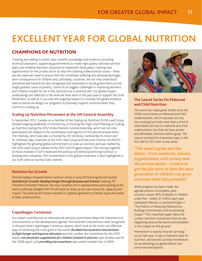## **excellent year for global nutrition**

## CHAMPIONS OF NUTRITION

Creating and adding to world-class scientific knowledge and evidence, providing technical assistance, supporting governments to create high quality national nutrition plans and mobilize domestic resources to implement these plans, creating new opportunities for the private sector to step into tackling undernutrition issues – these are the roads we travel to ensure that the immediate suffering and devastating longerterm consequences for children and, ultimately, countries, are not only understood, prevented and treated but also recognized and responded to by all governments as the single greatest cause of poverty. Some of our biggest challenges in improving women's and children's health lie not in the solutions but in political will. Our global impact undertakings are reflected in the work we have done in the past year to support the SUN Movement, as well as in our new and ongoing research to increase the global evidence base to ensure we design our programs to positively support countries when they commit to scaling up.

#### **Scaling Up Nutrition Movement at the UN General Assembly**

In September 2012, Canada, as a member of the Scaling Up Nutrition (SUN) Lead Group, showed ongoing leadership in nutrition by co-hosting the High-Level Meeting on Scaling up Nutrition during the 2012 United Nations General Assembly, which we not only participated but helped in the coordination and logistics of this second annual event. The meeting, which was also co-hosted by UN Secretary-General Ban Ki-moon and Dr. Anthony Lake, chairman of the SUN Lead Group and Executive Director of UNICEF, highlighted the growing global commitment to scale up nutrition and was marked by the SUN Lead Group's release of the 2012 SUN Progress Report. The coming-together of those involved in SUN impressed the political will behind prioritizing nutrition in development initiatives. MI's involvement in this global movement is best highlighted in our SUN video on our YouTube channel.

#### **Nutrition for Growth**

Political leaders showed further nutrition action in June 2013 during the UK-hosted *Nutrition for Growth: Beating Hunger through Business and Science* meeting. MI President Venkatesh Mannar, the only Canadian NGO representative participating at the event, publically pledged that MI will work to ramp up our own resources, capacity and impact. The political will shown resulted in a global agreement to better equip the world to beat undernutrition.

#### **Copenhagen Consensus**

Our expert contributions to international advisory committees keeps the importance of micronutrients on the development agenda. Micronutrient interventions were recognized in the past three Copenhagen Consensus reports, which look at the most cost effective ways to achieving the most good in the world. *Bundled micronutrient interventions to fight hunger and improve education* was the number one investment for the 2012 report; *micronutrient supplements for children (vitamin A and zinc*) was number one for the 2008 report; and *providing micronutrients* was ranked number two in 2004.



#### **The Lancet Series On Maternal and Child Nutrition**

The world has made great strides since the 2008 *Lancet Series on Maternal and Child Undernutrition*, which exposed not only the numbing fact that more than a third of child deaths are due to maternal and child undernutriton, but that we have proven and affordable solutions within grasp. *The Lancet* revisited this important topic in the first half of 2013 with a new series.

**"The need is great and the desire – from countries, donors, organizations, civil society and the private sector – is there to get the job done so that the next generation of children can grow and meet their full potential."**

While progress has been made, the agenda remains incomplete: poor nutrition causes 45% of deaths in children under five – nearly 3.1 million each year. Venkatesh Mannar co-authored Paper 4 "The Politics of Reducing Malnutrition: Building Commitment and Accelerating Impact." This important paper takes the current nutrition momentum that we see happening around the world and translates it into impact on the ground.

Momentum is exactly how we can wrap up our last year. It was a champion year for nutrition, and we will use that momentum for accelerating our global efforts into tomorrow and beyond.